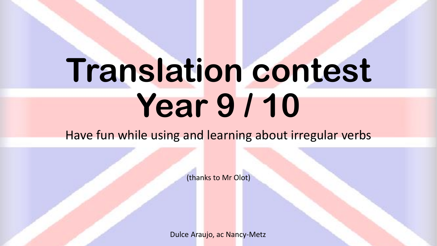## **Translation contest Year 9 / 10**

Have fun while using and learning about irregular verbs

(thanks to Mr Olot)

Dulce Araujo, ac Nancy-Metz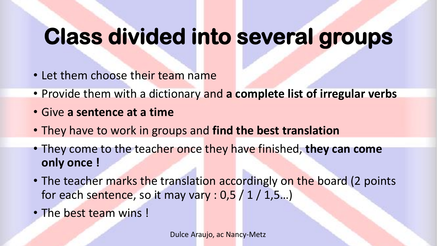## **Class divided into several groups**

- Let them choose their team name
- Provide them with a dictionary and **a complete list of irregular verbs**
- Give **a sentence at a time**
- They have to work in groups and **find the best translation**
- They come to the teacher once they have finished, **they can come only once !**
- The teacher marks the translation accordingly on the board (2 points for each sentence, so it may vary :  $0.5 / 1 / 1.5...$ )
- The best team wins !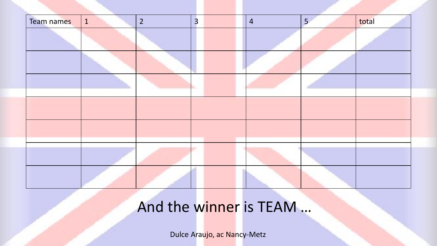

## And the winner is TEAM ...

Dulce Araujo, ac Nancy-Metz